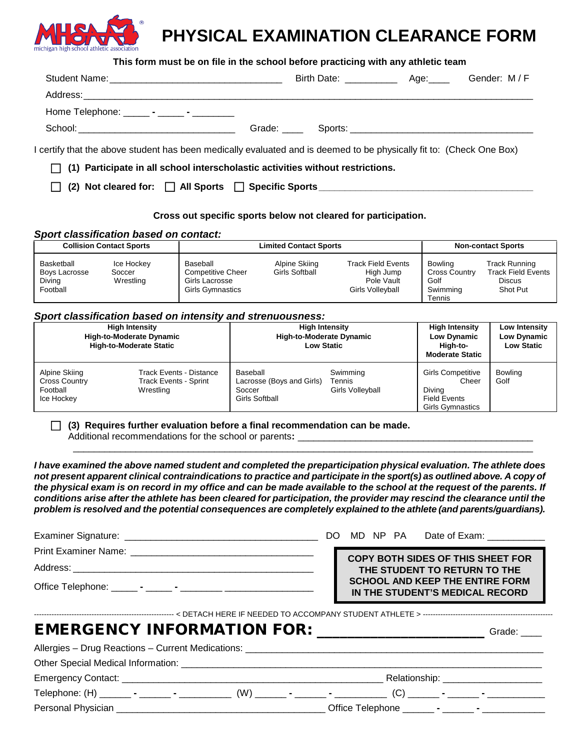

## **PHYSICAL EXAMINATION CLEARANCE FORM**

|                                                                                                                      | This form must be on file in the school before practicing with any athletic team      |  |
|----------------------------------------------------------------------------------------------------------------------|---------------------------------------------------------------------------------------|--|
|                                                                                                                      |                                                                                       |  |
|                                                                                                                      |                                                                                       |  |
| Home Telephone: ______ - _____ - _________                                                                           |                                                                                       |  |
|                                                                                                                      |                                                                                       |  |
| I certify that the above student has been medically evaluated and is deemed to be physically fit to: (Check One Box) |                                                                                       |  |
|                                                                                                                      | $\Box$ (1) Participate in all school interscholastic activities without restrictions. |  |
|                                                                                                                      | (2) Not cleared for: □ All Sports □ Specific Sports ____________________________      |  |

#### **Cross out specific sports below not cleared for participation.**

#### *Sport classification based on contact:*

| <b>Collision Contact Sports</b><br><b>Limited Contact Sports</b> |                                   |                                                                                   |                                 | <b>Non-contact Sports</b>                                                |                                                                      |                                                                                |
|------------------------------------------------------------------|-----------------------------------|-----------------------------------------------------------------------------------|---------------------------------|--------------------------------------------------------------------------|----------------------------------------------------------------------|--------------------------------------------------------------------------------|
| Basketball<br>Boys Lacrosse<br>Diving<br>Football                | Ice Hockey<br>Soccer<br>Wrestling | Baseball<br><b>Competitive Cheer</b><br>Girls Lacrosse<br><b>Girls Gymnastics</b> | Alpine Skiing<br>Girls Softball | <b>Track Field Events</b><br>High Jump<br>Pole Vault<br>Girls Volleyball | <b>Bowling</b><br><b>Cross Country</b><br>Golf<br>Swimming<br>Tennis | <b>Track Running</b><br><b>Track Field Events</b><br><b>Discus</b><br>Shot Put |

#### *Sport classification based on intensity and strenuousness:*

| <b>High Intensity</b><br><b>High-to-Moderate Dynamic</b><br><b>High-to-Moderate Static</b> |                                                                             | <b>High Intensity</b><br><b>High-to-Moderate Dynamic</b><br><b>Low Static</b> |                                        | <b>High Intensity</b><br><b>Low Dynamic</b><br>High-to-<br><b>Moderate Static</b>             | Low Intensity<br>Low Dynamic<br><b>Low Static</b> |
|--------------------------------------------------------------------------------------------|-----------------------------------------------------------------------------|-------------------------------------------------------------------------------|----------------------------------------|-----------------------------------------------------------------------------------------------|---------------------------------------------------|
| Alpine Skiing<br><b>Cross Country</b><br>Football<br>Ice Hockey                            | <b>Track Events - Distance</b><br><b>Track Events - Sprint</b><br>Wrestling | Baseball<br>Lacrosse (Boys and Girls)<br>Soccer<br>Girls Softball             | Swimming<br>Tennis<br>Girls Volleyball | <b>Girls Competitive</b><br>Cheer<br>Divina<br><b>Field Events</b><br><b>Girls Gymnastics</b> | <b>Bowling</b><br>Golf                            |

**(3) Requires further evaluation before a final recommendation can be made.** 

Additional recommendations for the school or parents:

 *not present apparent clinical contraindications to practice and participate in the sport(s) as outlined above. A copy of conditions arise after the athlete has been cleared for participation, the provider may rescind the clearance until the I have examined the above named student and completed the preparticipation physical evaluation. The athlete does the physical exam is on record in my office and can be made available to the school at the request of the parents. If problem is resolved and the potential consequences are completely explained to the athlete (and parents/guardians).* 

\_\_\_\_\_\_\_\_\_\_\_\_\_\_\_\_\_\_\_\_\_\_\_\_\_\_\_\_\_\_\_\_\_\_\_\_\_\_\_\_\_\_\_\_\_\_\_\_\_\_\_\_\_\_\_\_\_\_\_\_\_\_\_\_\_\_\_\_\_\_\_\_\_\_\_\_\_\_\_\_\_\_\_\_\_\_\_\_

|                                                 |  |  | COPY BOTH SIDES OF THIS SHEET FOR                                         |
|-------------------------------------------------|--|--|---------------------------------------------------------------------------|
|                                                 |  |  | THE STUDENT TO RETURN TO THE                                              |
|                                                 |  |  | <b>SCHOOL AND KEEP THE ENTIRE FORM</b><br>IN THE STUDENT'S MEDICAL RECORD |
|                                                 |  |  |                                                                           |
| EMERGENCY INFORMATION FOR: ____________________ |  |  | Grade:                                                                    |
|                                                 |  |  |                                                                           |
|                                                 |  |  |                                                                           |
|                                                 |  |  | Relationship: _______________________                                     |

 Telephone: (H) \_\_\_\_\_\_ **-** \_\_\_\_\_\_ **-** \_\_\_\_\_\_\_\_\_\_ (W) \_\_\_\_\_\_ **-** \_\_\_\_\_\_ **-** \_\_\_\_\_\_\_\_\_\_ (C) \_\_\_\_\_\_ **-** \_\_\_\_\_\_ **-** \_\_\_\_\_\_\_\_\_\_\_

 Personal Physician \_\_\_\_\_\_\_\_\_\_\_\_\_\_\_\_\_\_\_\_\_\_\_\_\_\_\_\_\_\_\_\_\_\_\_\_\_\_\_\_ Office Telephone \_\_\_\_\_\_ **-** \_\_\_\_\_\_ **-** \_\_\_\_\_\_\_\_\_\_\_\_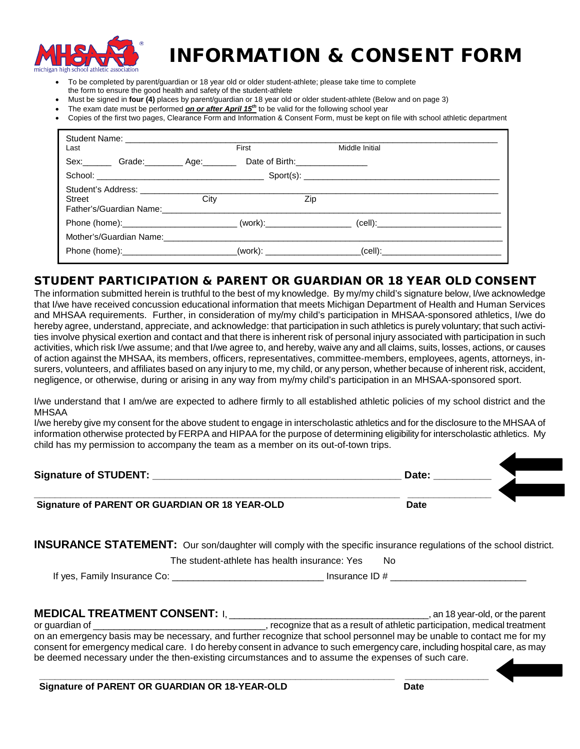

# INFORMATION & CONSENT FORM

- To be completed by parent/guardian or 18 year old or older student-athlete; please take time to complete
- the form to ensure the good health and safety of the student-athlete
- Must be signed in **four (4)** places by parent/guardian or 18 year old or older student-athlete (Below and on page 3)
- The exam date must be performed *on or after April 15<sup>th</sup>* to be valid for the following school year
- Copies of the first two pages, Clearance Form and Information & Consent Form, must be kept on file with school athletic department

| Last   |                                                                   | First                                                                            | Middle Initial                  |
|--------|-------------------------------------------------------------------|----------------------------------------------------------------------------------|---------------------------------|
|        | Sex: Grade: Age: Age:                                             |                                                                                  | Date of Birth:_________________ |
|        |                                                                   |                                                                                  |                                 |
| Street | Student's Address: ___________________<br>Father's/Guardian Name: | City                                                                             | Zip                             |
|        |                                                                   | Phone (home):__________________________________(work):__________________________ |                                 |
|        |                                                                   | Mother's/Guardian Name: Mannell All Allen Mother's/Guardian Name:                |                                 |
|        |                                                                   | Phone (home):__________________________(work): _________________________________ |                                 |

### STUDENT PARTICIPATION & PARENT OR GUARDIAN OR 18 YEAR OLD CONSENT

 The information submitted herein is truthful to the best of my knowledge. By my/my child's signature below, I/we acknowledge and MHSAA requirements. Further, in consideration of my/my child's participation in MHSAA-sponsored athletics, I/we do hereby agree, understand, appreciate, and acknowledge: that participation in such athletics is purely voluntary; that such activi- activities, which risk I/we assume; and that I/we agree to, and hereby, waive any and all claims, suits, losses, actions, or causes surers, volunteers, and affiliates based on any injury to me, my child, or any person, whether because of inherent risk, accident, that I/we have received concussion educational information that meets Michigan Department of Health and Human Services ties involve physical exertion and contact and that there is inherent risk of personal injury associated with participation in such of action against the MHSAA, its members, officers, representatives, committee-members, employees, agents, attorneys, innegligence, or otherwise, during or arising in any way from my/my child's participation in an MHSAA-sponsored sport.

 I/we understand that I am/we are expected to adhere firmly to all established athletic policies of my school district and the MHSAA

 I/we hereby give my consent for the above student to engage in interscholastic athletics and for the disclosure to the MHSAA of information otherwise protected by FERPA and HIPAA for the purpose of determining eligibility for interscholastic athletics. My child has my permission to accompany the team as a member on its out-of-town trips.

| T/We hereby dive my consent for the above student to engage in interscholastic athletics and for the disclosure to the MHSAA of<br>information otherwise protected by FERPA and HIPAA for the purpose of determining eligibility for interscholastic athletics. My<br>child has my permission to accompany the team as a member on its out-of-town trips. |       |  |  |  |
|-----------------------------------------------------------------------------------------------------------------------------------------------------------------------------------------------------------------------------------------------------------------------------------------------------------------------------------------------------------|-------|--|--|--|
| <b>Signature of STUDENT:</b>                                                                                                                                                                                                                                                                                                                              | Date: |  |  |  |
| Signature of PARENT OR GUARDIAN OR 18 YEAR-OLD                                                                                                                                                                                                                                                                                                            | Date  |  |  |  |

**INSURANCE STATEMENT:** Our son/daughter will comply with the specific insurance regulations of the school district.

The student-athlete has health insurance: Yes No

If yes, Family Insurance Co: \_\_\_\_\_\_\_\_\_\_\_\_\_\_\_\_\_\_\_\_\_\_\_\_\_\_\_\_\_ Insurance ID # \_\_\_\_\_\_\_\_\_\_\_\_\_\_\_\_\_\_\_\_\_\_\_\_\_\_

#### **MEDICAL TREATMENT CONSENT:** I, \_\_\_\_\_\_\_\_\_\_\_\_\_\_\_\_\_\_\_\_\_\_\_\_\_\_\_\_\_\_\_\_\_\_\_\_\_\_\_, an 18 year-old, or the parent or guardian of \_\_\_\_\_\_\_\_\_\_\_\_\_\_\_\_\_\_\_\_\_\_\_\_\_\_\_\_\_\_\_\_\_, recognize that as a result of athletic participation, medical treatment on an emergency basis may be necessary, and further recognize that school personnel may be unable to contact me for my consent for emergency medical care. I do hereby consent in advance to such emergency care, including hospital care, as may

be deemed necessary under the then-existing circumstances and to assume the expenses of such care.

**\_\_\_\_\_\_\_\_\_\_\_\_\_\_\_\_\_\_\_\_\_\_\_\_\_\_\_\_\_\_\_\_\_\_\_\_\_\_\_\_\_\_\_\_\_\_\_\_\_\_\_\_\_\_\_\_\_\_\_\_\_\_\_\_\_\_\_\_ \_\_\_\_\_\_\_\_\_\_\_\_\_\_\_\_ Signature of PARENT OR GUARDIAN OR 18-YEAR-OLD Date Date** 

of the form<br>of the formy<br>care, as may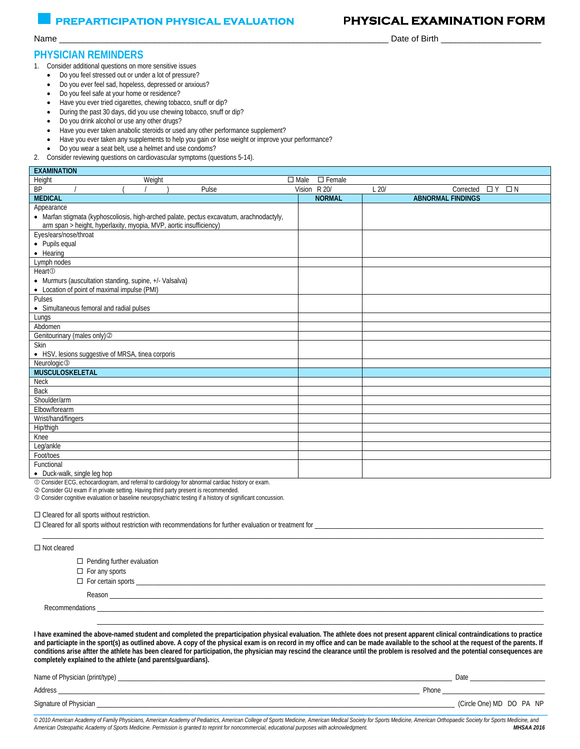#### **PREPARTICIPATION PHYSICAL EVALUATION PHYSICAL EXAMINATION FORM**

#### **PHYSICIAN REMINDERS**

1. Consider additional questions on more sensitive issues

- Do you feel stressed out or under a lot of pressure?
- Do you ever feel sad, hopeless, depressed or anxious?
- Do you feel safe at your home or residence?
- Have you ever tried cigarettes, chewing tobacco, snuff or dip?
- During the past 30 days, did you use chewing tobacco, snuff or dip?
- Do you drink alcohol or use any other drugs?
- Have you ever taken anabolic steroids or used any other performance supplement?
- Have you ever taken any supplements to help you gain or lose weight or improve your performance?
- Do you wear a seat belt, use a helmet and use condoms?
- 2. Consider reviewing questions on cardiovascular symptoms (questions 5-14).

| <b>EXAMINATION</b>                                                                       |                              |                                           |
|------------------------------------------------------------------------------------------|------------------------------|-------------------------------------------|
| Height<br>Weight                                                                         | $\Box$ Female<br>$\Box$ Male |                                           |
| <b>BP</b><br>Pulse                                                                       | Vision R 20/                 | L20/<br>$\Box N$<br>Corrected<br>$\Box Y$ |
| <b>MEDICAL</b>                                                                           | <b>NORMAL</b>                | <b>ABNORMAL FINDINGS</b>                  |
| Appearance                                                                               |                              |                                           |
| • Marfan stigmata (kyphoscoliosis, high-arched palate, pectus excavatum, arachnodactyly, |                              |                                           |
| arm span > height, hyperlaxity, myopia, MVP, aortic insufficiency)                       |                              |                                           |
| Eyes/ears/nose/throat                                                                    |                              |                                           |
| • Pupils equal                                                                           |                              |                                           |
| • Hearing                                                                                |                              |                                           |
| Lymph nodes                                                                              |                              |                                           |
| Heart <sub>①</sub>                                                                       |                              |                                           |
| • Murmurs (auscultation standing, supine, +/- Valsalva)                                  |                              |                                           |
| • Location of point of maximal impulse (PMI)                                             |                              |                                           |
| Pulses                                                                                   |                              |                                           |
| • Simultaneous femoral and radial pulses                                                 |                              |                                           |
| Lungs                                                                                    |                              |                                           |
| Abdomen                                                                                  |                              |                                           |
| Genitourinary (males only) <sup>2</sup>                                                  |                              |                                           |
| <b>Skin</b>                                                                              |                              |                                           |
| • HSV, lesions suggestive of MRSA, tinea corporis                                        |                              |                                           |
| Neurologic <sup>3</sup>                                                                  |                              |                                           |
| MUSCULOSKELETAL                                                                          |                              |                                           |
| <b>Neck</b>                                                                              |                              |                                           |
| Back                                                                                     |                              |                                           |
| Shoulder/arm                                                                             |                              |                                           |
| Elbow/forearm                                                                            |                              |                                           |
| Wrist/hand/fingers                                                                       |                              |                                           |
| Hip/thigh                                                                                |                              |                                           |
| Knee                                                                                     |                              |                                           |
| Leg/ankle                                                                                |                              |                                           |
| Foot/toes                                                                                |                              |                                           |
| Functional                                                                               |                              |                                           |
| $\bullet$ Duck-walk single leg hon                                                       |                              |                                           |

• Duck-walk, single leg hop

Consider ECG, echocardiogram, and referral to cardiology for abnormal cardiac history or exam.

Consider GU exam if in private setting. Having third party present is recommended.

Consider cognitive evaluation or baseline neuropsychiatric testing if a history of significant concussion.

□ Cleared for all sports without restriction.

|                    | $\Box$ Cleared for all sports without restriction with recommendations for further evaluation or treatment for |
|--------------------|----------------------------------------------------------------------------------------------------------------|
| $\Box$ Not cleared |                                                                                                                |
|                    | $\Box$ Pending further evaluation                                                                              |
|                    | $\Box$ Earlany charts                                                                                          |

- $\Box$  For any sports
- For certain sports \_\_\_\_\_\_\_\_\_\_\_\_\_\_\_\_\_\_\_\_\_\_\_\_\_\_\_\_\_\_\_\_\_\_\_\_\_\_\_\_\_\_\_\_\_\_\_\_\_\_\_\_\_\_\_\_\_\_\_\_\_\_\_\_\_\_\_\_\_\_\_\_\_\_\_\_\_\_\_\_\_\_\_\_\_\_\_\_\_\_\_\_\_\_\_\_\_\_\_\_\_\_\_\_\_\_\_\_\_\_\_\_\_\_\_\_\_\_\_\_

Reason \_\_\_\_\_\_\_\_\_\_\_\_\_\_\_\_\_\_\_\_\_\_\_\_\_\_\_\_\_\_\_\_\_\_\_\_\_\_\_\_\_\_\_\_\_\_\_\_\_\_\_\_\_\_\_\_\_\_\_\_\_\_\_\_\_\_\_\_\_\_\_\_\_\_\_\_\_\_\_\_\_\_\_\_\_\_\_\_\_\_\_\_\_\_\_\_\_\_\_\_\_\_\_\_\_\_\_\_\_\_\_\_\_\_\_\_\_\_\_\_\_\_\_\_\_\_\_

Recommendations \_\_\_\_\_\_\_\_\_\_\_\_\_\_\_\_\_\_\_\_\_\_\_\_\_\_\_\_\_\_\_\_\_\_\_\_\_\_\_\_\_\_\_\_\_\_\_\_\_\_\_\_\_\_\_\_\_\_\_\_\_\_\_\_\_\_\_\_\_\_\_\_\_\_\_\_\_\_\_\_\_\_\_\_\_\_\_\_\_\_\_\_\_\_\_\_\_\_\_\_\_\_\_\_\_\_\_\_\_\_\_\_\_\_\_\_\_\_\_\_\_\_\_\_\_\_\_\_\_\_\_

**I have examined the above-named student and completed the preparticipation physical evaluation. The athlete does not present apparent clinical contraindications to practice**  and particiapte in the sport(s) as outlined above. A copy of the physical exam is on record in my office and can be made available to the school at the request of the parents. If **conditions arise aftter the athlete has been cleared for participation, the physician may rescind the clearance until the problem is resolved and the potential consequences are completely explained to the athlete (and parents/guardians).** 

\_\_\_\_\_\_\_\_\_\_\_\_\_\_\_\_\_\_\_\_\_\_\_\_\_\_\_\_\_\_\_\_\_\_\_\_\_\_\_\_\_\_\_\_\_\_\_\_\_\_\_\_\_\_\_\_\_\_\_\_\_\_\_\_\_\_\_\_\_\_\_\_\_\_\_\_\_\_\_\_\_\_\_\_\_\_\_\_\_\_\_\_\_\_\_\_\_\_\_\_\_\_\_\_\_\_\_\_\_\_\_\_\_\_\_\_\_\_\_\_\_\_\_\_\_\_\_\_\_\_\_

| Name of Physician (print/type) |       | Date                     |  |  |
|--------------------------------|-------|--------------------------|--|--|
| Address                        | Phone |                          |  |  |
| Signature of Physician.        |       | (Circle One) MD DO PA NP |  |  |

*© 2010 American Academy of Family Physicians, American Academy of Pediatrics, American College of Sports Medicine, American Medical Society for Sports Medicine, American Orthopaedic Society for Sports Medicine, and American Osteopathic Academy of Sports Medicine. Permission is granted to reprint for noncommercial, educational purposes with acknowledgment. MHSAA 2016* 

Name \_\_\_\_\_\_\_\_\_\_\_\_\_\_\_\_\_\_\_\_\_\_\_\_\_\_\_\_\_\_\_\_\_\_\_\_\_\_\_\_\_\_\_\_\_\_\_\_\_\_\_\_\_\_\_\_\_\_\_\_\_\_\_\_\_\_\_\_\_ Date of Birth \_\_\_\_\_\_\_\_\_\_\_\_\_\_\_\_\_\_\_\_\_